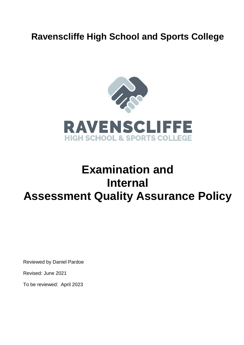# **Ravenscliffe High School and Sports College**



# **Examination and Internal Assessment Quality Assurance Policy**

Reviewed by Daniel Pardoe

Revised: June 2021

To be reviewed: April 2023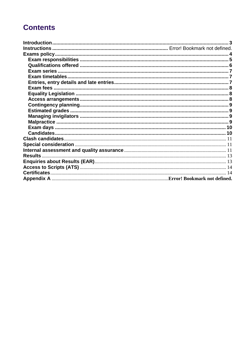# **Contents**

| Results |  |
|---------|--|
|         |  |
|         |  |
|         |  |
|         |  |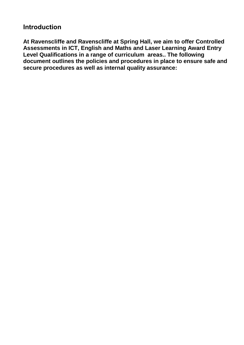# <span id="page-2-0"></span>**Introduction**

**At Ravenscliffe and Ravenscliffe at Spring Hall, we aim to offer Controlled Assessments in ICT, English and Maths and Laser Learning Award Entry Level Qualifications in a range of curriculum areas.. The following document outlines the policies and procedures in place to ensure safe and secure procedures as well as internal quality assurance:**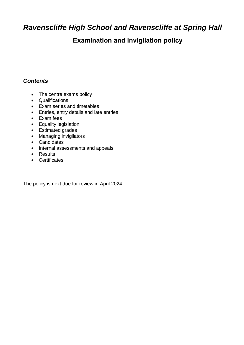# <span id="page-3-0"></span>*Ravenscliffe High School and Ravenscliffe at Spring Hall*

# **Examination and invigilation policy**

#### *Contents*

- The centre exams policy
- Qualifications
- Exam series and timetables
- Entries, entry details and late entries
- Exam fees
- Equality legislation
- Estimated grades
- Managing invigilators
- Candidates
- Internal assessments and appeals
- Results
- Certificates

The policy is next due for review in April 2024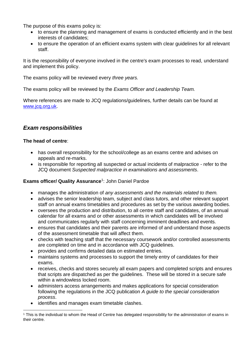The purpose of this exams policy is:

- to ensure the planning and management of exams is conducted efficiently and in the best interests of candidates;
- to ensure the operation of an efficient exams system with clear guidelines for all relevant staff.

It is the responsibility of everyone involved in the centre's exam processes to read, understand and implement this policy.

The exams policy will be reviewed every *three years.*

The exams policy will be reviewed by the *Exams Officer and Leadership Team.*

Where references are made to JCQ regulations/guidelines, further details can be found at [www.jcq.org.uk.](http://www.jcq.org.uk/)

# <span id="page-4-0"></span>*Exam responsibilities*

#### **The head of centre**:

- has overall responsibility for the school/college as an exams centre and advises on appeals and re-marks.
- is responsible for reporting all suspected or actual incidents of malpractice refer to the JCQ document *Suspected malpractice in examinations and assessments*.

#### **Exams officer/ Quality Assurance**<sup>1</sup> : John Daniel Pardoe

- manages the administration of *any assessments and the materials related to them.*
- advises the senior leadership team, subject and class tutors, and other relevant support staff on annual exams timetables and procedures as set by the various awarding bodies.
- oversees the production and distribution, to all centre staff and candidates, of an annual calendar for all exams and or other assessments in which candidates will be involved and communicates regularly with staff concerning imminent deadlines and events.
- ensures that candidates and their parents are informed of and understand those aspects of the assessment timetable that will affect them.
- checks with teaching staff that the necessary coursework and/or controlled assessments are completed on time and in accordance with JCQ guidelines.
- provides and confirms detailed data on estimated entries.
- maintains systems and processes to support the timely entry of candidates for their exams.
- receives, checks and stores securely all exam papers and completed scripts and ensures that scripts are dispatched as per the guidelines. These will be stored in a secure safe within a windowless locked room.
- administers access arrangements and makes applications for special consideration following the regulations in the JCQ publication *A guide to the special consideration process*.
- identifies and manages exam timetable clashes.

<sup>&</sup>lt;u>.</u> <sup>1</sup> This is the individual to whom the Head of Centre has delegated responsibility for the administration of exams in their centre.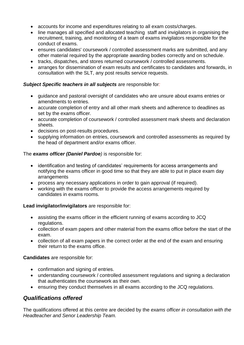- accounts for income and expenditures relating to all exam costs/charges.
- line manages all specified and allocated teaching staff and invigilators in organising the recruitment, training, and monitoring of a team of exams invigilators responsible for the conduct of exams.
- ensures candidates' coursework / controlled assessment marks are submitted, and any other material required by the appropriate awarding bodies correctly and on schedule.
- tracks, dispatches, and stores returned coursework / controlled assessments.
- arranges for dissemination of exam results and certificates to candidates and forwards, in consultation with the SLT, any post results service requests.

#### *Subject Specific teachers in all subjects* are responsible for*:*

- guidance and pastoral oversight of candidates who are unsure about exams entries or amendments to entries.
- accurate completion of entry and all other mark sheets and adherence to deadlines as set by the exams officer.
- accurate completion of coursework / controlled assessment mark sheets and declaration sheets.
- decisions on post-results procedures.
- supplying information on entries, coursework and controlled assessments as required by the head of department and/or exams officer.

#### The *exams officer (Daniel Pardoe)* is responsible for:

- identification and testing of candidates' requirements for access arrangements and notifying the exams officer in good time so that they are able to put in place exam day arrangements
- process any necessary applications in order to gain approval (if required).
- working with the exams officer to provide the access arrangements required by candidates in exams rooms.

#### **Lead invigilator/invigilators** are responsible for:

- assisting the exams officer in the efficient running of exams according to JCQ regulations.
- collection of exam papers and other material from the exams office before the start of the exam.
- collection of all exam papers in the correct order at the end of the exam and ensuring their return to the exams office.

#### **Candidates** are responsible for:

- confirmation and signing of entries.
- understanding coursework / controlled assessment regulations and signing a declaration that authenticates the coursework as their own.
- ensuring they conduct themselves in all exams according to the JCQ regulations.

## <span id="page-5-0"></span>*Qualifications offered*

The qualifications offered at this centre are decided by the *exams officer in consultation with the Headteacher and Senor Leadership Team.*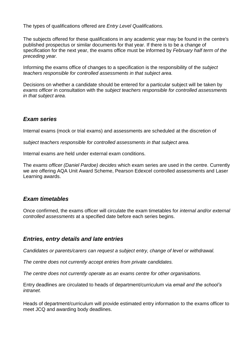The types of qualifications offered are *Entry Level Qualifications.* 

The subjects offered for these qualifications in any academic year may be found in the centre's published prospectus or similar documents for that year. If there is to be a change of specification for the next year, the exams office must be informed by *February half term of the preceding year.*

Informing the exams office of changes to a specification is the responsibility of the *subject teachers responsible for controlled assessments in that subject area.*

Decisions on whether a candidate should be entered for a particular subject will be taken by *exams officer* in consultation with the *subject teachers responsible for controlled assessments in that subject area.*

#### <span id="page-6-0"></span>*Exam series*

Internal exams (mock or trial exams) and assessments are scheduled at the discretion of

*subject teachers responsible for controlled assessments in that subject area.*

Internal exams *are* held under external exam conditions.

The *exams officer (Daniel Pardoe) decides* which exam series are used in the centre. Currently we are offering AQA Unit Award Scheme, Pearson Edexcel controlled assessments and Laser Learning awards.

#### <span id="page-6-1"></span>*Exam timetables*

Once confirmed, the exams officer will circulate the exam timetables for *internal and/or external controlled assessments* at a specified date before each series begins.

#### <span id="page-6-2"></span>*Entries, entry details and late entries*

*Candidates or parents/carers can request a subject entry, change of level or withdrawal.*

*The centre does not currently accept entries from private candidates.*

*The centre does not currently operate as an exams centre for other organisations.*

Entry deadlines are circulated to heads of department/curriculum via *email and the school's intranet.*

Heads of department/curriculum will provide estimated entry information to the exams officer to meet JCQ and awarding body deadlines.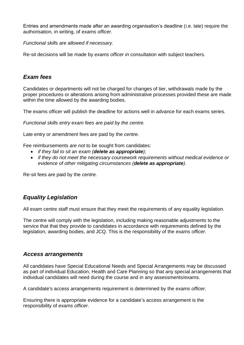Entries and amendments made after an awarding organisation's deadline (i.e. late) require the authorisation, in writing, of *exams officer.*

*Functional skills are allowed if necessary.* 

Re-sit decisions will be made by *exams officer in* consultation with subject teachers.

#### <span id="page-7-0"></span>*Exam fees*

Candidates or departments will not be charged for changes of tier, withdrawals made by the proper procedures or alterations arising from administrative processes provided these are made within the time allowed by the awarding bodies.

The exams officer will publish the deadline for actions well in advance for each exams series.

*Functional skills entry exam fees are paid by the centre.*

Late entry or amendment fees are paid by the *centre.*

Fee reimbursements *are not* to be sought from candidates:

- *if they fail to sit an exam (delete as appropriate);*
- *if they do not meet the necessary coursework requirements without medical evidence or evidence of other mitigating circumstances (delete as appropriate).*

Re-sit fees are paid by the *centre.*

## <span id="page-7-1"></span>*Equality Legislation*

All exam centre staff must ensure that they meet the requirements of any equality legislation.

The centre will comply with the legislation, including making reasonable adjustments to the service that that they provide to candidates in accordance with requirements defined by the legislation, awarding bodies, and JCQ. This is the responsibility of the *exams officer.*

#### <span id="page-7-2"></span>*Access arrangements*

All candidates have Special Educational Needs and Special Arrangements may be discussed as part of individual Education, Health and Care Planning so that any special arrangements that individual candidates will need during the course and in any assessments/exams.

A candidate's access arrangements requirement is determined by the *exams officer.*

Ensuring there is appropriate evidence for a candidate's access arrangement is the responsibility of *exams officer.*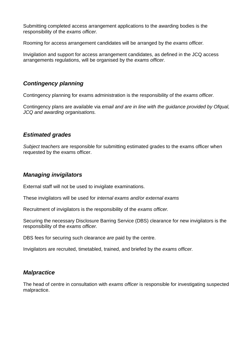Submitting completed access arrangement applications to the awarding bodies is the responsibility of the *exams officer.*

Rooming for access arrangement candidates will be arranged by the *exams officer.*

Invigilation and support for access arrangement candidates, as defined in the JCQ access arrangements regulations, will be organised by the *exams officer.*

## <span id="page-8-0"></span>*Contingency planning*

Contingency planning for exams administration is the responsibility of the *exams officer.*

Contingency plans are available via *email and are in line with the guidance provided by Ofqual, JCQ and awarding organisations.* 

#### <span id="page-8-1"></span>*Estimated grades*

*Subject teachers* are responsible for submitting estimated grades to the exams officer when requested by the exams officer.

## <span id="page-8-2"></span>*Managing invigilators*

External staff will not be used to invigilate examinations.

These invigilators will be used for *internal exams and/or external exams* 

Recruitment of invigilators is the responsibility of the *exams officer.* 

Securing the necessary Disclosure Barring Service (DBS) clearance for new invigilators is the responsibility of the *exams officer.*

DBS fees for securing such clearance *are* paid by the centre.

Invigilators are recruited, timetabled, trained, and briefed by the *exams officer.*

## <span id="page-8-3"></span>*Malpractice*

The head of centre in consultation with *exams officer* is responsible for investigating suspected malpractice.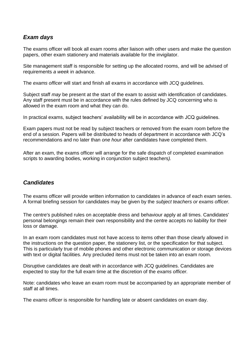# <span id="page-9-0"></span>*Exam days*

The exams officer will book all exam rooms after liaison with other users and make the question papers, other exam stationery and materials available for the invigilator.

Site management staff is responsible for setting up the allocated rooms, and will be advised of requirements *a week* in advance.

The *exams officer* will start and finish all exams in accordance with JCQ guidelines.

Subject staff *may* be present at the start of the exam to assist with identification of candidates. Any staff present must be in accordance with the rules defined by JCQ concerning who is allowed in the exam room and what they can do.

In practical exams, subject teachers' availability will be in accordance with JCQ guidelines.

Exam papers must not be read by subject teachers or removed from the exam room before the end of a session. Papers will be distributed to heads of department in accordance with JCQ's recommendations and no later than *one hour* after candidates have completed them.

After an exam, the exams officer will arrange for the safe dispatch of completed examination scripts to awarding bodies, working in conjunction subject teachers*).*

#### <span id="page-9-1"></span>*Candidates*

The exams officer will provide written information to candidates in advance of each exam series. A formal briefing session for candidates may be given by the *subject teachers or exams officer.*

The centre's published rules on acceptable dress and behaviour apply at all times. Candidates' personal belongings remain their own responsibility and the centre accepts no liability for their loss or damage.

In an exam room candidates must not have access to items other than those clearly allowed in the instructions on the question paper, the stationery list, or the specification for that subject. This is particularly true of mobile phones and other electronic communication or storage devices with text or digital facilities. Any precluded items must not be taken into an exam room.

Disruptive candidates are dealt with in accordance with JCQ guidelines. Candidates are expected to stay for the full exam time at the discretion of the *exams officer.*

Note: candidates who leave an exam room must be accompanied by an appropriate member of staff at all times.

The *exams officer* is responsible for handling late or absent candidates on exam day.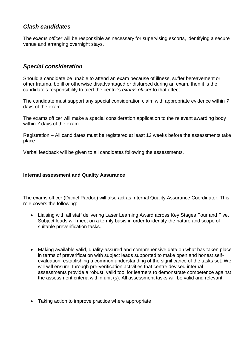## <span id="page-10-0"></span>*Clash candidates*

The *exams officer* will be responsible as necessary for supervising escorts, identifying a secure venue and arranging overnight stays.

# <span id="page-10-1"></span>*Special consideration*

Should a candidate be unable to attend an exam because of illness, suffer bereavement or other trauma, be ill or otherwise disadvantaged or disturbed during an exam, then it is the candidate's responsibility to alert the centre's *exams officer* to that effect.

The candidate must support any special consideration claim with appropriate evidence within *7* days of the exam.

The exams officer will make a special consideration application to the relevant awarding body within *7* days of the exam.

Registration – All candidates must be registered at least 12 weeks before the assessments take place.

Verbal feedback will be given to all candidates following the assessments.

#### <span id="page-10-2"></span>**Internal assessment and Quality Assurance**

The exams officer (Daniel Pardoe) will also act as Internal Quality Assurance Coordinator. This role covers the following:

- Liaising with all staff delivering Laser Learning Award across Key Stages Four and Five. Subject leads will meet on a termly basis in order to identify the nature and scope of suitable preverification tasks.
- Making available valid, quality-assured and comprehensive data on what has taken place in terms of preverification with subject leads supported to make open and honest selfevaluation establishing a common understanding of the significance of the tasks set. We will will ensure, through pre-verification activities that centre devised internal assessments provide a robust, valid tool for learners to demonstrate competence against the assessment criteria within unit (s). All assessment tasks will be valid and relevant.
- Taking action to improve practice where appropriate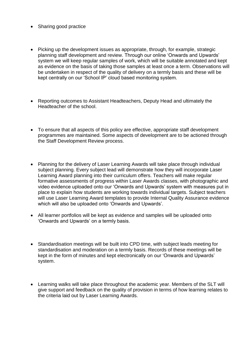- Sharing good practice
- Picking up the development issues as appropriate, through, for example, strategic planning staff development and review. Through our online 'Onwards and Upwards' system we will keep regular samples of work, which will be suitable annotated and kept as evidence on the basis of taking those samples at least once a term. Observations will be undertaken in respect of the quality of delivery on a termly basis and these will be kept centrally on our 'School IP' cloud based monitoring system.
- Reporting outcomes to Assistant Headteachers, Deputy Head and ultimately the Headteacher of the school.
- To ensure that all aspects of this policy are effective, appropriate staff development programmes are maintained. Some aspects of development are to be actioned through the Staff Development Review process.
- Planning for the delivery of Laser Learning Awards will take place through individual subject planning. Every subject lead will demonstrate how they will incorporate Laser Learning Award planning into their curriculum offers. Teachers will make regular formative assessments of progress within Laser Awards classes, with photographic and video evidence uploaded onto our 'Onwards and Upwards' system with measures put in place to explain how students are working towards individual targets. Subject teachers will use Laser Learning Award templates to provide Internal Quality Assurance evidence which will also be uploaded onto 'Onwards and Upwards'.
- All learner portfolios will be kept as evidence and samples will be uploaded onto 'Onwards and Upwards' on a termly basis.
- Standardisation meetings will be built into CPD time, with subject leads meeting for standardisation and moderation on a termly basis. Records of these meetings will be kept in the form of minutes and kept electronically on our 'Onwards and Upwards' system.
- Learning walks will take place throughout the academic year. Members of the SLT will give support and feedback on the quality of provision in terms of how learning relates to the criteria laid out by Laser Learning Awards.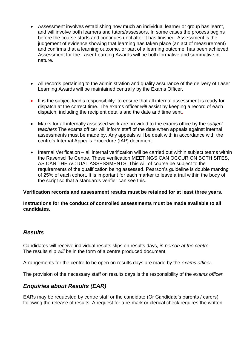- Assessment involves establishing how much an individual learner or group has learnt, and will involve both learners and tutors/assessors. In some cases the process begins before the course starts and continues until after it has finished. Assessment is the judgement of evidence showing that learning has taken place (an act of measurement) and confirms that a learning outcome, or part of a learning outcome, has been achieved. Assessment for the Laser Learning Awards will be both formative and summative in nature.
- All records pertaining to the administration and quality assurance of the delivery of Laser Learning Awards will be maintained centrally by the Exams Officer.
- It is the subject lead's responsibility to ensure that all internal assessment is ready for dispatch at the correct time. The exams officer *will* assist by keeping a record of each dispatch, including the recipient details and the date and time sent.
- Marks for all internally assessed work are provided to the exams office by the *subject teachers* The exams officer will inform staff of the date when appeals against internal assessments must be made by. Any appeals will be dealt with in accordance with the centre's Internal Appeals Procedure (IAP) document.
- Internal Verification all internal verification will be carried out within subject teams within the Ravenscliffe Centre. These verification MEETINGS CAN OCCUR ON BOTH SITES, AS CAN THE ACTUAL ASSESSMENTS. This will of course be subject to the requirements of the qualification being assessed. Pearson's guideline is double marking of 25% of each cohort. It is important for each marker to leave a trail within the body of the script so that a standards verifier can see this.

#### **Verification records and assessment results must be retained for at least three years.**

**Instructions for the conduct of controlled assessments must be made available to all candidates.** 

#### <span id="page-12-0"></span>*Results*

Candidates will receive individual results slips on results days, *in person at the centre* The results slip *will* be in the form of a centre produced document.

Arrangements for the centre to be open on results days are made by the *exams officer.*

The provision of the necessary staff on results days is the responsibility of the *exams officer.*

## <span id="page-12-1"></span>*Enquiries about Results (EAR)*

EARs may be requested by centre staff or the candidate (Or Candidate's parents / carers) following the release of results. A request for a re-mark or clerical check requires the written